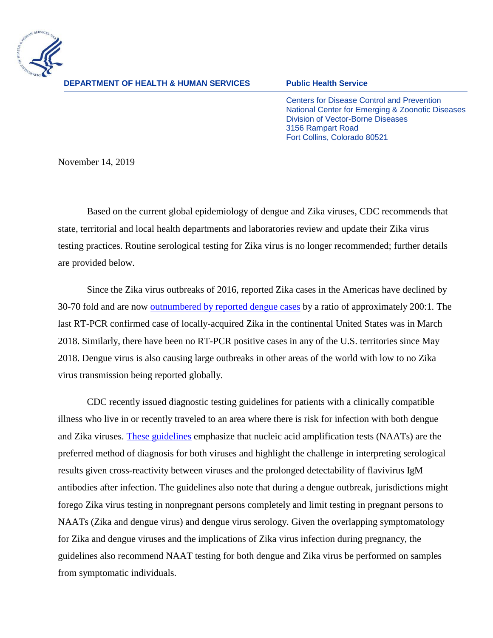

**DEPARTMENT OF HEALTH & HUMAN SERVICES Public Health Service**

Centers for Disease Control and Prevention National Center for Emerging & Zoonotic Diseases Division of Vector-Borne Diseases 3156 Rampart Road Fort Collins, Colorado 80521

November 14, 2019

Based on the current global epidemiology of dengue and Zika viruses, CDC recommends that state, territorial and local health departments and laboratories review and update their Zika virus testing practices. Routine serological testing for Zika virus is no longer recommended; further details are provided below.

Since the Zika virus outbreaks of 2016, reported Zika cases in the Americas have declined by 30-70 fold and are now [outnumbered by reported](http://www.paho.org/data/index.php/en/) dengue cases by a ratio of approximately 200:1. The last RT-PCR confirmed case of locally-acquired Zika in the continental United States was in March 2018. Similarly, there have been no RT-PCR positive cases in any of the U.S. territories since May 2018. Dengue virus is also causing large outbreaks in other areas of the world with low to no Zika virus transmission being reported globally.

CDC recently issued diagnostic testing guidelines for patients with a clinically compatible illness who live in or recently traveled to an area where there is risk for infection with both dengue and Zika viruses. [These guidelines](https://www.cdc.gov/mmwr/volumes/68/rr/rr6801a1.htm?s_cid=rr6801a1_w) emphasize that nucleic acid amplification tests (NAATs) are the preferred method of diagnosis for both viruses and highlight the challenge in interpreting serological results given cross-reactivity between viruses and the prolonged detectability of flavivirus IgM antibodies after infection. The guidelines also note that during a dengue outbreak, jurisdictions might forego Zika virus testing in nonpregnant persons completely and limit testing in pregnant persons to NAATs (Zika and dengue virus) and dengue virus serology. Given the overlapping symptomatology for Zika and dengue viruses and the implications of Zika virus infection during pregnancy, the guidelines also recommend NAAT testing for both dengue and Zika virus be performed on samples from symptomatic individuals.